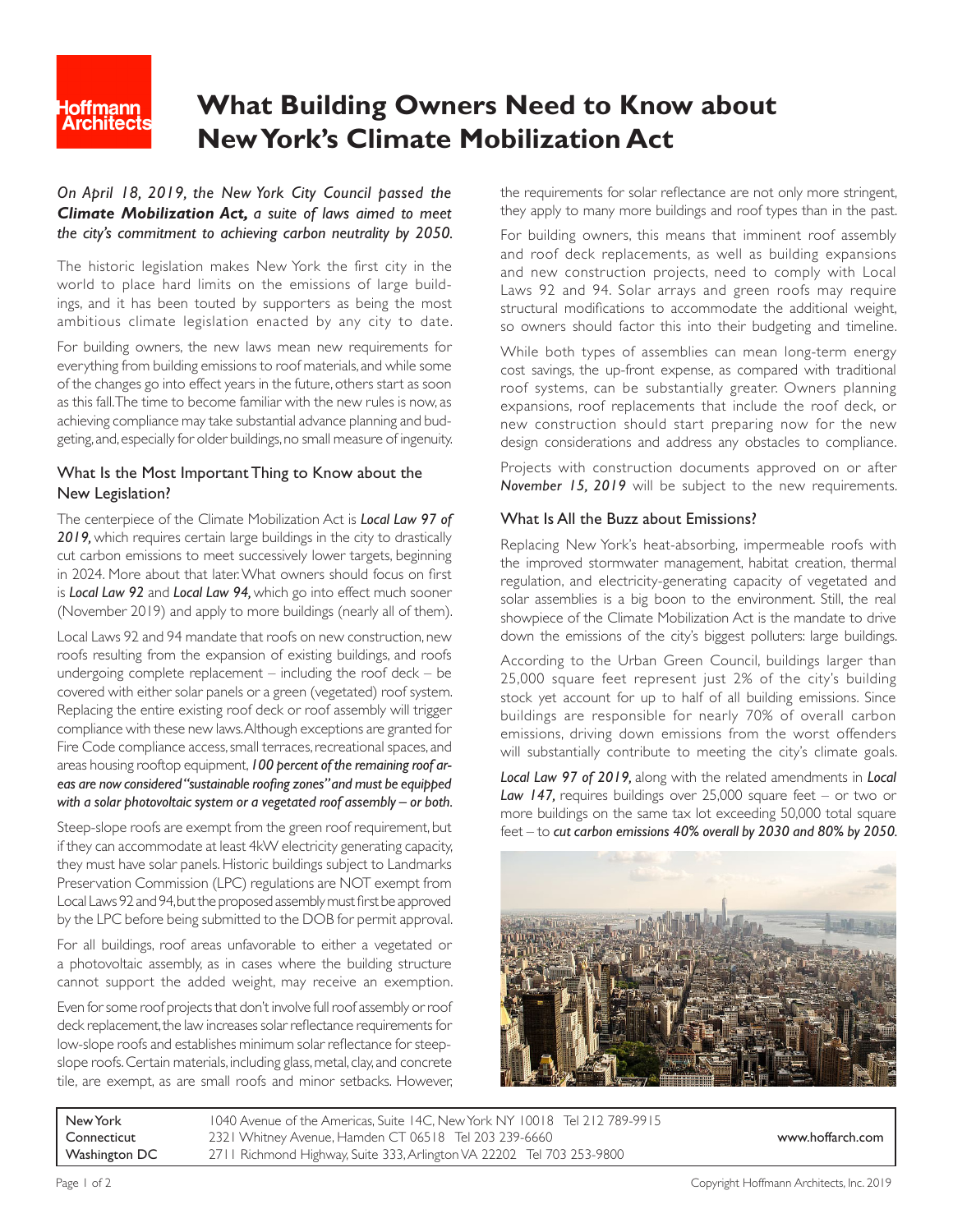

# **What Building Owners Need to Know about New York's Climate Mobilization Act**

## *On April 18, 2019, the New York City Council passed the Climate Mobilization Act, a suite of laws aimed to meet the city's commitment to achieving carbon neutrality by 2050.*

The historic legislation makes New York the first city in the world to place hard limits on the emissions of large buildings, and it has been touted by supporters as being the most ambitious climate legislation enacted by any city to date.

For building owners, the new laws mean new requirements for everything from building emissions to roof materials, and while some of the changes go into effect years in the future, others start as soon as this fall. The time to become familiar with the new rules is now, as achieving compliance may take substantial advance planning and budgeting, and, especially for older buildings, no small measure of ingenuity.

## What Is the Most Important Thing to Know about the New Legislation?

The centerpiece of the Climate Mobilization Act is *[Local Law 97 of](https://www1.nyc.gov/assets/buildings/local_laws/ll97of2019.pdf) [2019,](https://www1.nyc.gov/assets/buildings/local_laws/ll97of2019.pdf)* which requires certain large buildings in the city to drastically cut carbon emissions to meet successively lower targets, beginning in 2024. More about that later. What owners should focus on first is *[Local Law 92](https://www1.nyc.gov/assets/buildings/local_laws/ll92of2019.pdf)* and *[Local Law 94,](https://www1.nyc.gov/assets/buildings/local_laws/ll94of2019.pdf)* which go into effect much sooner (November 2019) and apply to more buildings (nearly all of them).

Local Laws 92 and 94 mandate that roofs on new construction, new roofs resulting from the expansion of existing buildings, and roofs undergoing complete replacement – including the roof deck – be covered with either solar panels or a green (vegetated) roof system. Replacing the entire existing roof deck or roof assembly will trigger compliance with these new laws. Although exceptions are granted for Fire Code compliance access, small terraces, recreational spaces, and areas housing rooftop equipment, *100 percent of the remaining roof areas are now considered "sustainable roofing zones" and must be equipped with a solar photovoltaic system or a vegetated roof assembly – or both.*

Steep-slope roofs are exempt from the green roof requirement, but if they can accommodate at least 4kW electricity generating capacity, they must have solar panels. Historic buildings subject to Landmarks Preservation Commission (LPC) regulations are NOT exempt from Local Laws 92 and 94, but the proposed assembly must first be approved by the LPC before being submitted to the DOB for permit approval.

For all buildings, roof areas unfavorable to either a vegetated or a photovoltaic assembly, as in cases where the building structure cannot support the added weight, may receive an exemption.

Even for some roof projects that don't involve full roof assembly or roof deck replacement, the law increases solar reflectance requirements for low-slope roofs and establishes minimum solar reflectance for steepslope roofs. Certain materials, including glass, metal, clay, and concrete tile, are exempt, as are small roofs and minor setbacks. However,

the requirements for solar reflectance are not only more stringent, they apply to many more buildings and roof types than in the past.

For building owners, this means that imminent roof assembly and roof deck replacements, as well as building expansions and new construction projects, need to comply with Local Laws 92 and 94. Solar arrays and green roofs may require structural modifications to accommodate the additional weight, so owners should factor this into their budgeting and timeline.

While both types of assemblies can mean long-term energy cost savings, the up-front expense, as compared with traditional roof systems, can be substantially greater. Owners planning expansions, roof replacements that include the roof deck, or new construction should start preparing now for the new design considerations and address any obstacles to compliance.

Projects with construction documents approved on or after *November 15, 2019* will be subject to the new requirements.

## What Is All the Buzz about Emissions?

Replacing New York's heat-absorbing, impermeable roofs with the improved stormwater management, habitat creation, thermal regulation, and electricity-generating capacity of vegetated and solar assemblies is a big boon to the environment. Still, the real showpiece of the Climate Mobilization Act is the mandate to drive down the emissions of the city's biggest polluters: large buildings.

According to the Urban Green Council, buildings larger than 25,000 square feet represent just 2% of the city's building stock yet account for up to half of all building emissions. Since buildings are responsible for nearly 70% of overall carbon emissions, driving down emissions from the worst offenders will substantially contribute to meeting the city's climate goals.

*[Local Law 97 of 2019,](https://www1.nyc.gov/assets/buildings/local_laws/ll97of2019.pdf)* along with the related amendments in *[Local](https://www1.nyc.gov/assets/buildings/local_laws/ll147of2019.pdf)*  [Law 147,](https://www1.nyc.gov/assets/buildings/local_laws/ll147of2019.pdf) requires buildings over 25,000 square feet – or two or more buildings on the same tax lot exceeding 50,000 total square feet – to *cut carbon emissions 40% overall by 2030 and 80% by 2050.* 



New York 1040 Avenue of the Americas, Suite 14C, New York NY 10018 Tel 212 789-9915 Connecticut 2321 Whitney Avenue, Hamden CT 06518 Tel 203 239-6660 www.hoffarch.com Washington DC 2711 Richmond Highway, Suite 333, Arlington VA 22202 Tel 703 253-9800